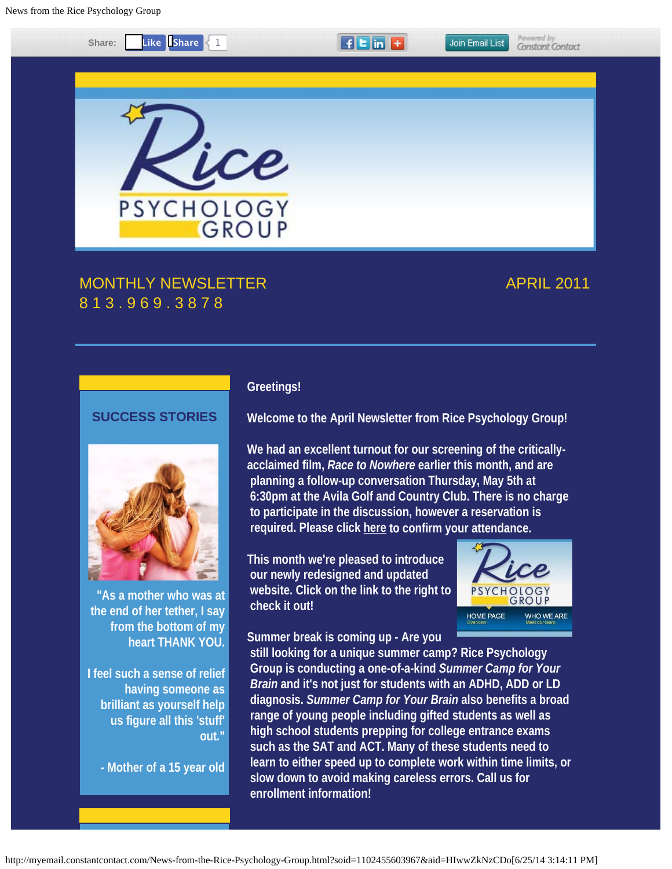

# **SUCCESS STORIES**



**"As a mother who was at the end of her tether, I say from the bottom of my heart THANK YOU.**

**I feel such a sense of relief having someone as brilliant as yourself help us figure all this 'stuff' out."**

**- Mother of a 15 year old**

#### **Greetings!**

**Welcome to the April Newsletter from Rice Psychology Group!** 

**We had an excellent turnout for our screening of the criticallyacclaimed film,** *Race to Nowhere* **earlier this month, and are planning a follow-up conversation Thursday, May 5th at 6:30pm at the Avila Golf and Country Club. There is no charge to participate in the discussion, however a reservation is required. Please click [here](mailto:info@ricepsychology.com) to confirm your attendance.** 

**This month we're pleased to introduce our newly redesigned and updated website. Click on the link to the right to check it out!**



**Summer break is coming up - Are you**

 **still looking for a unique summer camp? Rice Psychology Group is conducting a one-of-a-kind** *Summer Camp for Your Brain* **and it's not just for students with an ADHD, ADD or LD diagnosis.** *Summer Camp for Your Brain* **also benefits a broad range of young people including gifted students as well as high school students prepping for college entrance exams such as the SAT and ACT. Many of these students need to learn to either speed up to complete work within time limits, or slow down to avoid making careless errors. Call us for enrollment information!**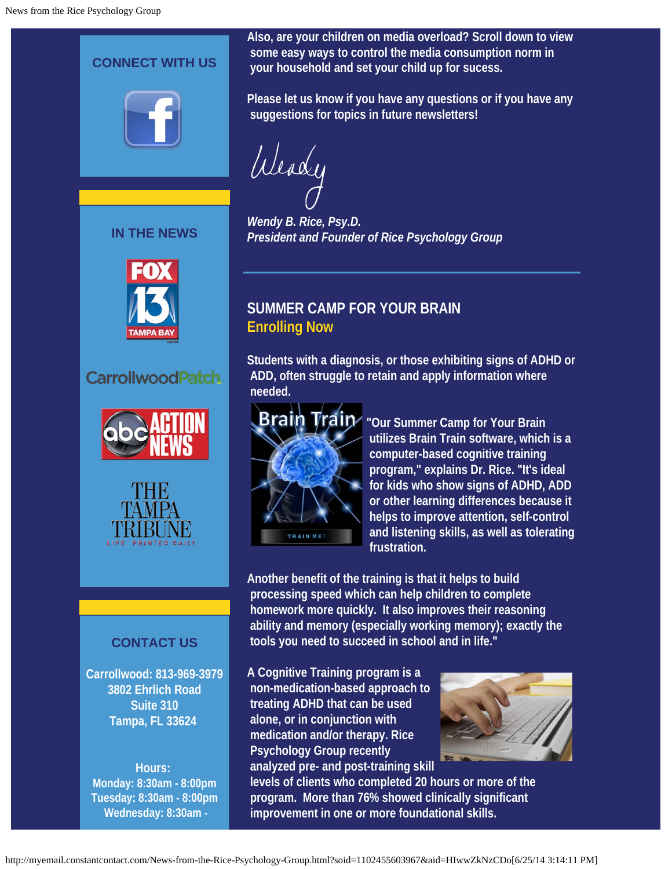

**IN THE NEWS**



#### **CarrollwoodPatch**





#### **CONTACT US**

**Carrollwood: 813-969-3979 3802 Ehrlich Road Suite 310 Tampa, FL 33624**

**Hours: Monday: 8:30am - 8:00pm Tuesday: 8:30am - 8:00pm Wednesday: 8:30am -**

**Also, are your children on media overload? Scroll down to view some easy ways to control the media consumption norm in your household and set your child up for sucess.** 

**Please let us know if you have any questions or if you have any suggestions for topics in future newsletters!**

Weady

*Wendy B. Rice, Psy.D. President and Founder of Rice Psychology Group*

### **SUMMER CAMP FOR YOUR BRAIN Enrolling Now**

**Students with a diagnosis, or those exhibiting signs of ADHD or ADD, often struggle to retain and apply information where needed.**



**"Our Summer Camp for Your Brain utilizes Brain Train software, which is a computer-based cognitive training program," explains Dr. Rice. "It's ideal for kids who show signs of ADHD, ADD or other learning differences because it helps to improve attention, self-control and listening skills, as well as tolerating frustration.**

**Another benefit of the training is that it helps to build processing speed which can help children to complete homework more quickly. It also improves their reasoning ability and memory (especially working memory); exactly the tools you need to succeed in school and in life."**

**A Cognitive Training program is a non-medication-based approach to treating ADHD that can be used alone, or in conjunction with medication and/or therapy. Rice Psychology Group recently analyzed pre- and post-training skill**



 **levels of clients who completed 20 hours or more of the program. More than 76% showed clinically significant improvement in one or more foundational skills.**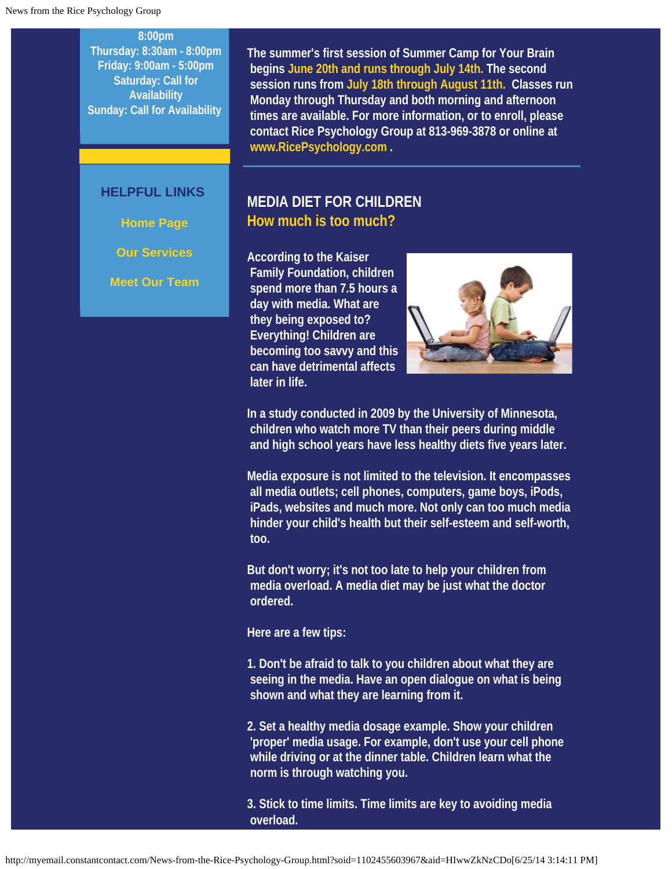**8:00pm Thursday: 8:30am - 8:00pm Friday: 9:00am - 5:00pm Saturday: Call for Availability Sunday: Call for Availability**

#### **HELPFUL LINKS**

**Home Page**

**Our Services**

**Meet Our Team**

**The summer's first session of Summer Camp for Your Brain begins June 20th and runs through July 14th. The second session runs from July 18th through August 11th. Classes run Monday through Thursday and both morning and afternoon times are available. For more information, or to enroll, please contact Rice Psychology Group at 813-969-3878 or online at [www.RicePsychology.com](http://www.ricepsychology.com/) .**

#### **MEDIA DIET FOR CHILDREN How much is too much?**

**According to the Kaiser Family Foundation, children spend more than 7.5 hours a day with media. What are they being exposed to? Everything! Children are becoming too savvy and this can have detrimental affects later in life.** 



**In a study conducted in 2009 by the University of Minnesota, children who watch more TV than their peers during middle and high school years have less healthy diets five years later.** 

**Media exposure is not limited to the television. It encompasses all media outlets; cell phones, computers, game boys, iPods, iPads, websites and much more. Not only can too much media hinder your child's health but their self-esteem and self-worth, too.** 

**But don't worry; it's not too late to help your children from media overload. A media diet may be just what the doctor ordered.** 

**Here are a few tips:**

**1. Don't be afraid to talk to you children about what they are seeing in the media. Have an open dialogue on what is being shown and what they are learning from it.** 

**2. Set a healthy media dosage example. Show your children 'proper' media usage. For example, don't use your cell phone while driving or at the dinner table. Children learn what the norm is through watching you.** 

**3. Stick to time limits. Time limits are key to avoiding media overload.**